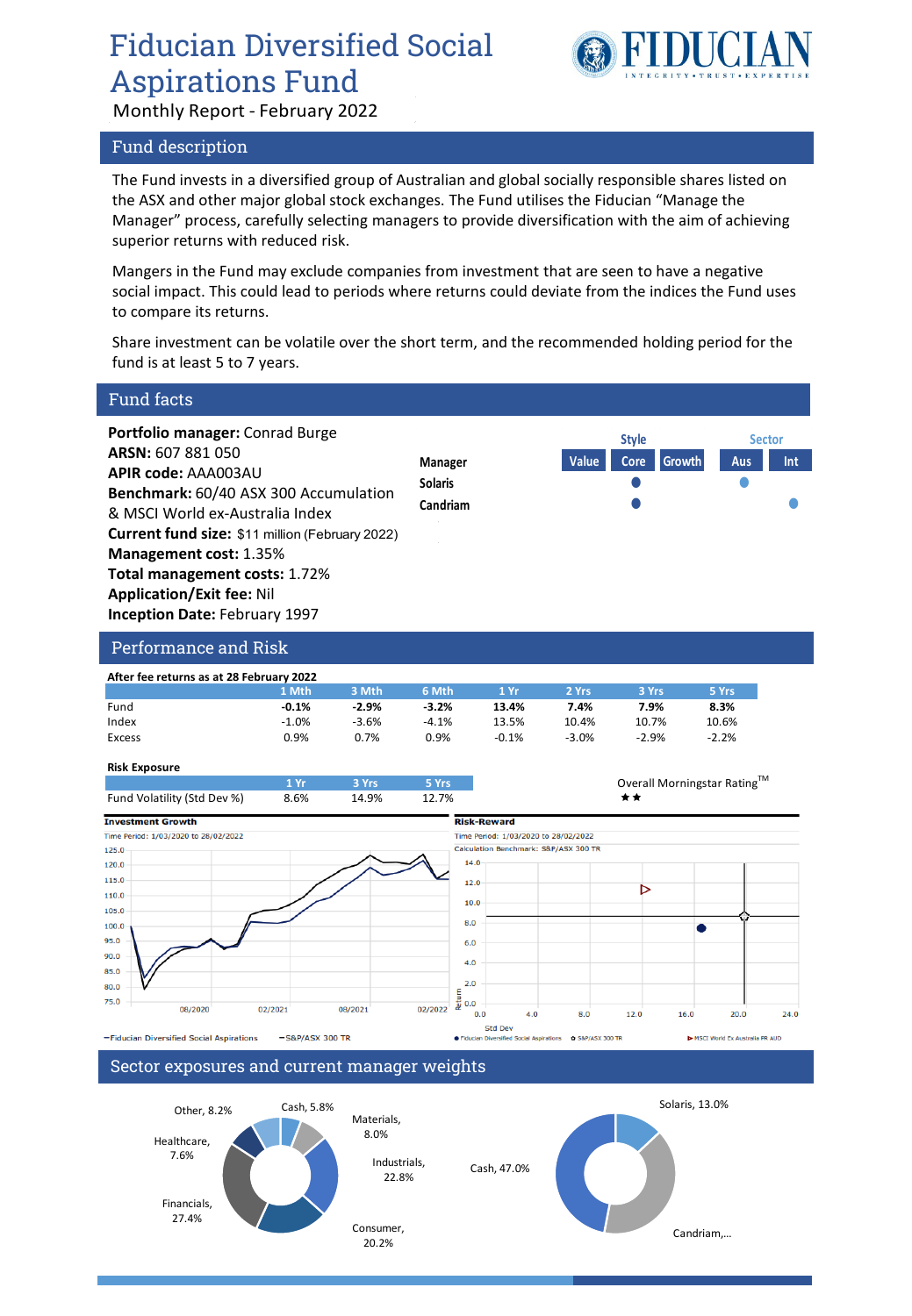# Fiducian Diversified Social Aspirations Fund



Monthly Report - February 2022

## Fund description

The Fund invests in a diversified group of Australian and global socially responsible shares listed on the ASX and other major global stock exchanges. The Fund utilises the Fiducian "Manage the Manager" process, carefully selecting managers to provide diversification with the aim of achieving superior returns with reduced risk.

Mangers in the Fund may exclude companies from investment that are seen to have a negative social impact. This could lead to periods where returns could deviate from the indices the Fund uses to compare its returns.

Share investment can be volatile over the short term, and the recommended holding period for the fund is at least 5 to 7 years.



Consumer, 20.2%

Candriam....